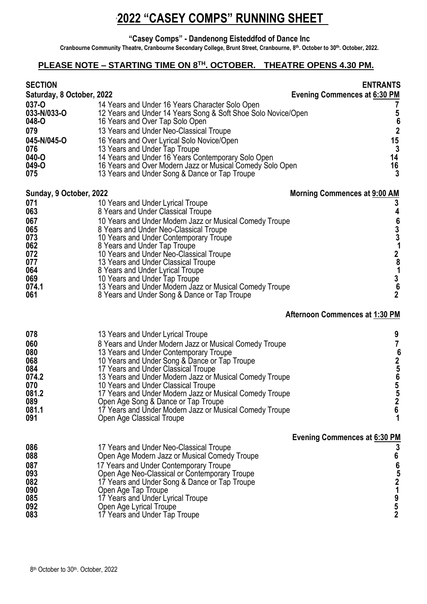**"Casey Comps" - Dandenong Eisteddfod of Dance Inc**

**Cranbourne Community Theatre, Cranbourne Secondary College, Brunt Street, Cranbourne, 8 th. October to 30th . October, 2022.**

#### **PLEASE NOTE – STARTING TIME ON 8 TH. OCTOBER. THEATRE OPENS 4.30 PM.**

| <b>SECTION</b><br>Saturday, 8 October, 2022<br>037-O<br>033-N/033-O<br>048-O<br>079<br>045-N/045-O<br>076<br>040-O<br>049-O | 14 Years and Under 16 Years Character Solo Open<br>12 Years and Under 14 Years Song & Soft Shoe Solo Novice/Open<br>16 Years and Over Tap Solo Open<br>13 Years and Under Neo-Classical Troupe<br>16 Years and Over Lyrical Solo Novice/Open<br>13 Years and Under Tap Troupe<br>14 Years and Under 16 Years Contemporary Solo Open<br>16 Years and Over Modern Jazz or Musical Comedy Solo Open                                                                                                                          | <b>ENTRANTS</b><br><b>Evening Commences at 6:30 PM</b><br>ſ<br>$562$<br>$153$<br>$1463$<br>$163$ |
|-----------------------------------------------------------------------------------------------------------------------------|---------------------------------------------------------------------------------------------------------------------------------------------------------------------------------------------------------------------------------------------------------------------------------------------------------------------------------------------------------------------------------------------------------------------------------------------------------------------------------------------------------------------------|--------------------------------------------------------------------------------------------------|
| 075                                                                                                                         | 13 Years and Under Song & Dance or Tap Troupe                                                                                                                                                                                                                                                                                                                                                                                                                                                                             |                                                                                                  |
| Sunday, 9 October, 2022<br>071<br>063<br>067<br>065<br>073<br>062<br>072<br>077<br>064<br>069<br>074.1<br>061               | 10 Years and Under Lyrical Troupe<br>8 Years and Under Classical Troupe<br>10 Years and Under Modern Jazz or Musical Comedy Troupe<br>8 Years and Under Neo-Classical Troupe<br>10 Years and Under Contemporary Troupe<br>8 Years and Under Tap Troupe<br>10 Years and Under Neo-Classical Troupe<br>13 Years and Under Classical Troupe<br>8 Years and Under Lyrical Troupe<br>10 Years and Under Tap Troupe<br>13 Years and Under Modern Jazz or Musical Comedy Troupe<br>8 Years and Under Song & Dance or Tap Troupe  | <b>Morning Commences at 9:00 AM</b><br>3<br>46331281362                                          |
|                                                                                                                             |                                                                                                                                                                                                                                                                                                                                                                                                                                                                                                                           | <b>Afternoon Commences at 1:30 PM</b>                                                            |
| 078<br>060<br>080<br>068<br>084<br>074.2<br>070<br>081.2<br>089<br>081.1<br>091                                             | 13 Years and Under Lyrical Troupe<br>8 Years and Under Modern Jazz or Musical Comedy Troupe<br>13 Years and Under Contemporary Troupe<br>10 Years and Under Song & Dance or Tap Troupe<br>17 Years and Under Classical Troupe<br>13 Years and Under Modern Jazz or Musical Comedy Troupe<br>10 Years and Under Classical Troupe<br>17 Years and Under Modern Jazz or Musical Comedy Troupe<br>Open Age Song & Dance or Tap Troupe<br>17 Years and Under Modern Jazz or Musical Comedy Troupe<br>Open Age Classical Troupe | 9<br>$\overline{7}$<br>625655<br>$\boldsymbol{2}$<br>$6\phantom{1}$<br>1                         |
| 086<br>088<br>087<br>093<br>082<br>090<br>085<br>092<br>083                                                                 | 17 Years and Under Neo-Classical Troupe<br>Open Age Modern Jazz or Musical Comedy Troupe<br>17 Years and Under Contemporary Troupe<br>Open Age Neo-Classical or Contemporary Troupe<br>17 Years and Under Song & Dance or Tap Troupe<br>Open Age Tap Troupe<br>17 Years and Under Lyrical Troupe<br>Open Age Lyrical Troupe<br>17 Years and Under Tap Troupe                                                                                                                                                              | <b>Evening Commences at 6:30 PM</b><br>3<br>6<br>6521952                                         |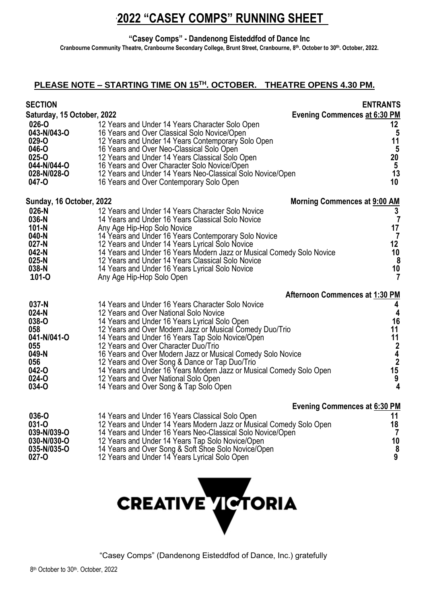**"Casey Comps" - Dandenong Eisteddfod of Dance Inc**

**Cranbourne Community Theatre, Cranbourne Secondary College, Brunt Street, Cranbourne, 8 th. October to 30th . October, 2022.**

### **PLEASE NOTE – STARTING TIME ON 15 TH. OCTOBER. THEATRE OPENS 4.30 PM.**

| <b>SECTION</b>                      |                                                                                                                            | <b>ENTRANTS</b>                                             |
|-------------------------------------|----------------------------------------------------------------------------------------------------------------------------|-------------------------------------------------------------|
| Saturday, 15 October, 2022<br>026-O | 12 Years and Under 14 Years Character Solo Open                                                                            | <b>Evening Commences at 6:30 PM</b><br>12 <sub>2</sub>      |
| 043-N/043-O<br>029-O                | 16 Years and Over Classical Solo Novice/Open<br>12 Years and Under 14 Years Contemporary Solo Open                         | 5<br>11                                                     |
| 046-O                               | 16 Years and Over Neo-Classical Solo Open                                                                                  | $\overline{\mathbf{5}}$                                     |
| 025-O<br>044-N/044-O                | 12 Years and Under 14 Years Classical Solo Open<br>16 Years and Over Character Solo Novice/Open                            | 20 <sub>o</sub>                                             |
| 028-N/028-O<br>047-O                | 12 Years and Under 14 Years Neo-Classical Solo Novice/Open<br>16 Years and Over Contemporary Solo Open                     | $\frac{5}{13}$<br>10                                        |
| Sunday, 16 October, 2022            |                                                                                                                            | <b>Morning Commences at 9:00 AM</b>                         |
| $026-N$<br>036-N                    | 12 Years and Under 14 Years Character Solo Novice<br>14 Years and Under 16 Years Classical Solo Novice                     | 3<br>$\overline{7}$                                         |
| $101-N$                             | Any Age Hip-Hop Solo Novice                                                                                                | $\frac{17}{7}$                                              |
| 040-N<br>$027 - N$                  | 14 Years and Under 16 Years Contemporary Solo Novice<br>12 Years and Under 14 Years Lyrical Solo Novice                    | 12                                                          |
| 042-N<br>$025-N$                    | 14 Years and Under 16 Years Modern Jazz or Musical Comedy Solo Novice<br>12 Years and Under 14 Years Classical Solo Novice | $\begin{array}{c} 10 \\ 8 \end{array}$                      |
| 038-N<br>101-0                      | 14 Years and Under 16 Years Lyrical Solo Novice<br>Any Age Hip-Hop Solo Open                                               | $\frac{10}{7}$                                              |
|                                     |                                                                                                                            | <b>Afternoon Commences at 1:30 PM</b>                       |
| 037-N<br>024-N                      | 14 Years and Under 16 Years Character Solo Novice<br>12 Years and Over National Solo Novice                                | 4<br>4                                                      |
| 038-O                               | 14 Years and Under 16 Years Lyrical Solo Open                                                                              | 16                                                          |
| 058<br>041-N/041-O                  | 12 Years and Over Modern Jazz or Musical Comedy Duo/Trio<br>14 Years and Under 16 Years Tap Solo Novice/Open               | 11                                                          |
| 055<br>049-N                        | 12 Years and Over Character Duo/Trio<br>16 Years and Over Modern Jazz or Musical Comedy Solo Novice                        | $\begin{array}{c} 11 \\ 2 \\ 4 \\ 2 \\ 15 \\ 9 \end{array}$ |
| 056                                 | 12 Years and Over Song & Dance or Tap Duo/Trio                                                                             |                                                             |
| 042-O<br>024-O                      | 14 Years and Under 16 Years Modern Jazz or Musical Comedy Solo Open<br>12 Years and Over National Solo Open                |                                                             |
| 034-O                               | 14 Years and Over Song & Tap Solo Open                                                                                     | $\overline{\mathbf{4}}$                                     |
|                                     |                                                                                                                            | <b>Evening Commences at 6:30 PM</b>                         |
| 036-O<br>031-O                      | 14 Years and Under 16 Years Classical Solo Open<br>12 Years and Under 14 Years Modern Jazz or Musical Comedy Solo Open     | 11                                                          |
| 039-N/039-O                         | 14 Years and Under 16 Years Neo-Classical Solo Novice/Open                                                                 | $\begin{array}{c} 18 \\ 7 \end{array}$                      |
| 030-N/030-O                         | 12 Years and Under 14 Years Tap Solo Novice/Open                                                                           | 10                                                          |

**035-N/035-O** 14 Years and Over Song & Soft Shoe Solo Novice/Open **8** 12 Years and Under 14 Years Lyrical Solo Open

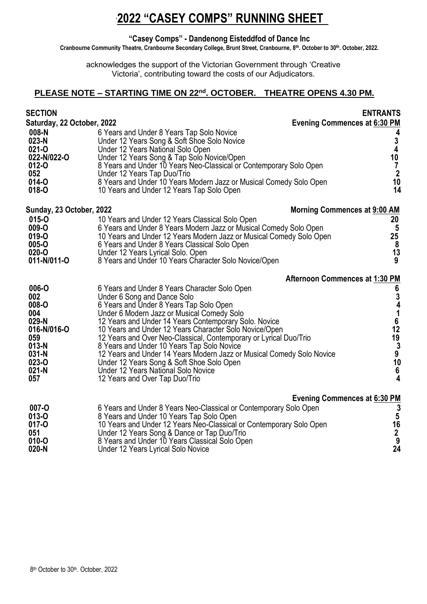#### **"Casey Comps" - Dandenong Eisteddfod of Dance Inc**

**Cranbourne Community Theatre, Cranbourne Secondary College, Brunt Street, Cranbourne, 8 th. October to 30th . October, 2022.**

acknowledges the support of the Victorian Government through 'Creative Victoria', contributing toward the costs of our Adjudicators.

#### **PLEASE NOTE – STARTING TIME ON 22nd . OCTOBER. THEATRE OPENS 4.30 PM.**

| <b>SECTION</b><br>Saturday, 22 October, 2022                                                               |                                                                                                                                                                                                                                                                                                                                                                                                                                                                                                                                                                                                            | <b>ENTRANTS</b><br><b>Evening Commences at 6:30 PM</b>                                     |
|------------------------------------------------------------------------------------------------------------|------------------------------------------------------------------------------------------------------------------------------------------------------------------------------------------------------------------------------------------------------------------------------------------------------------------------------------------------------------------------------------------------------------------------------------------------------------------------------------------------------------------------------------------------------------------------------------------------------------|--------------------------------------------------------------------------------------------|
| 008-N<br>023-N<br>021-O<br>022-N/022-O<br>012-0<br>052<br>014-O<br>018-O                                   | 6 Years and Under 8 Years Tap Solo Novice<br>Under 12 Years Song & Soft Shoe Solo Novice<br>Under 12 Years National Solo Open<br>Under 12 Years Song & Tap Solo Novice/Open<br>8 Years and Under 10 Years Neo-Classical or Contemporary Solo Open<br>Under 12 Years Tap Duo/Trio<br>8 Years and Under 10 Years Modern Jazz or Musical Comedy Solo Open<br>10 Years and Under 12 Years Tap Solo Open                                                                                                                                                                                                        | 4<br>$\frac{3}{4}$<br>10<br>$\overline{7}$<br>$\begin{array}{c} 2 \\ 10 \\ 14 \end{array}$ |
| Sunday, 23 October, 2022                                                                                   |                                                                                                                                                                                                                                                                                                                                                                                                                                                                                                                                                                                                            | Morning Commences at 9:00 AM                                                               |
| 015-0<br>009-O<br>019-O<br>005-O<br>020-O<br>011-N/011-O                                                   | 10 Years and Under 12 Years Classical Solo Open<br>6 Years and Under 8 Years Modern Jazz or Musical Comedy Solo Open<br>10 Years and Under 12 Years Modern Jazz or Musical Comedy Solo Open<br>6 Years and Under 8 Years Classical Solo Open<br>Under 12 Years Lyrical Solo. Open<br>8 Years and Under 10 Years Character Solo Novice/Open                                                                                                                                                                                                                                                                 | 20<br>$\overline{5}$<br>25<br>$\pmb{8}$<br>13<br>9                                         |
|                                                                                                            |                                                                                                                                                                                                                                                                                                                                                                                                                                                                                                                                                                                                            | Afternoon Commences at 1:30 PM                                                             |
| 006-O<br>002<br>008-O<br>004<br>029-N<br>016-N/016-O<br>059<br>$013-N$<br>031-N<br>023-0<br>$021-N$<br>057 | 6 Years and Under 8 Years Character Solo Open<br>Under 6 Song and Dance Solo<br>6 Years and Under 8 Years Tap Solo Open<br>Under 6 Modern Jazz or Musical Comedy Solo<br>12 Years and Under 14 Years Contemporary Solo. Novice<br>10 Years and Under 12 Years Character Solo Novice/Open<br>12 Years and Over Neo-Classical, Contemporary or Lyrical Duo/Trio<br>8 Years and Under 10 Years Tap Solo Novice<br>12 Years and Under 14 Years Modern Jazz or Musical Comedy Solo Novice<br>Under 12 Years Song & Soft Shoe Solo Open<br>Under 12 Years National Solo Novice<br>12 Years and Over Tap Duo/Trio | 6341612939106<br>$\mathbf{A}$                                                              |
|                                                                                                            |                                                                                                                                                                                                                                                                                                                                                                                                                                                                                                                                                                                                            | <b>Evening Commences at 6:30 PM</b>                                                        |
| 007-O<br>013-O<br>$017 - 0$<br>051<br>010-O<br>$020-N$                                                     | 6 Years and Under 8 Years Neo-Classical or Contemporary Solo Open<br>8 Years and Under 10 Years Tap Solo Open<br>10 Years and Under 12 Years Neo-Classical or Contemporary Solo Open<br>Under 12 Years Song & Dance or Tap Duo/Trio<br>8 Years and Under 10 Years Classical Solo Open<br>Under 12 Years Lyrical Solo Novice                                                                                                                                                                                                                                                                                | $35$<br>$16$<br>$2$<br>$9$<br>24                                                           |